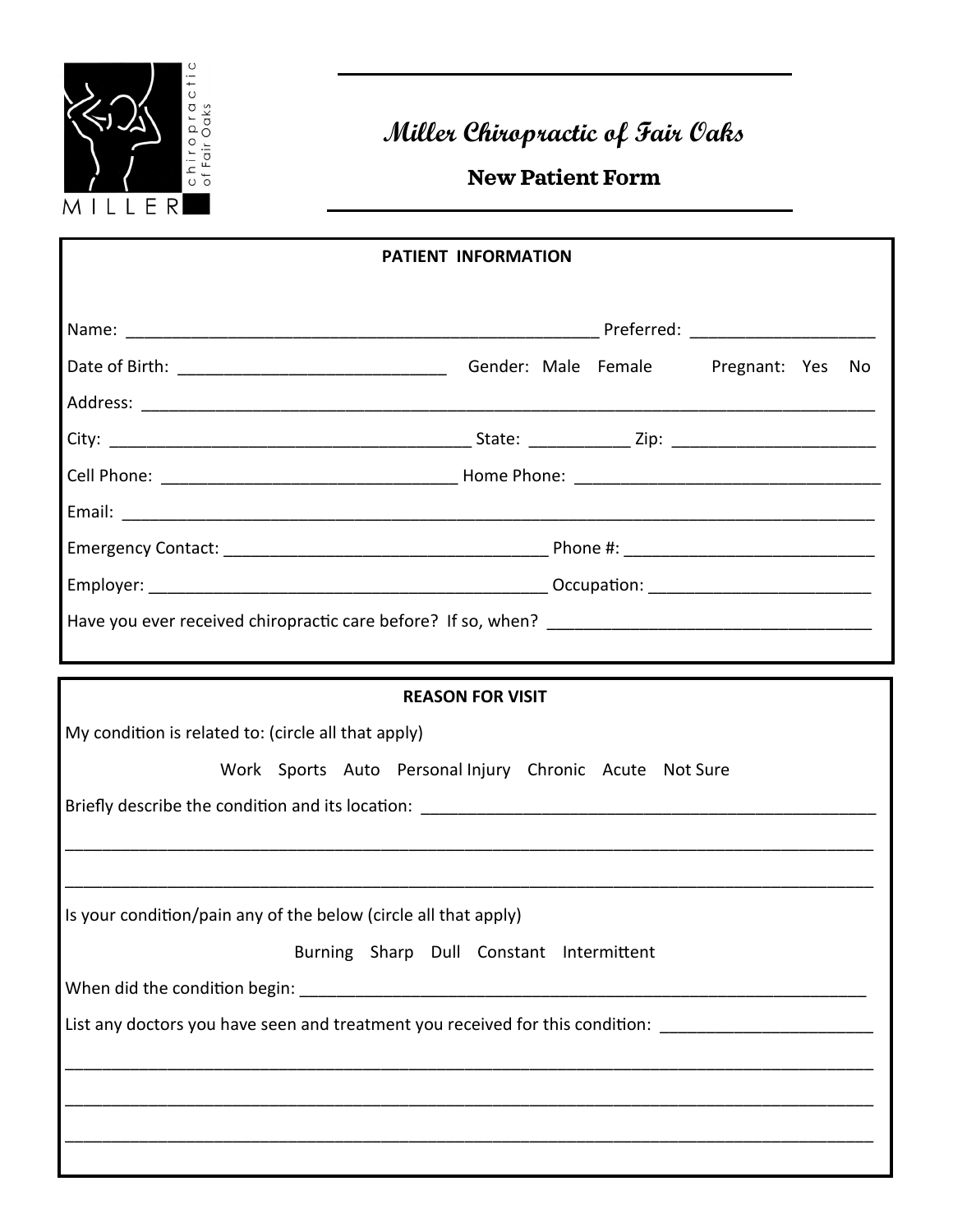

## **Miller Chiropractic of Fair Oaks**

## **New Patient Form**

| <b>PATIENT INFORMATION</b>                                                                                                                                                                                          |  |  |  |  |  |    |
|---------------------------------------------------------------------------------------------------------------------------------------------------------------------------------------------------------------------|--|--|--|--|--|----|
|                                                                                                                                                                                                                     |  |  |  |  |  |    |
|                                                                                                                                                                                                                     |  |  |  |  |  | No |
|                                                                                                                                                                                                                     |  |  |  |  |  |    |
|                                                                                                                                                                                                                     |  |  |  |  |  |    |
|                                                                                                                                                                                                                     |  |  |  |  |  |    |
|                                                                                                                                                                                                                     |  |  |  |  |  |    |
|                                                                                                                                                                                                                     |  |  |  |  |  |    |
|                                                                                                                                                                                                                     |  |  |  |  |  |    |
|                                                                                                                                                                                                                     |  |  |  |  |  |    |
| <b>REASON FOR VISIT</b><br>My condition is related to: (circle all that apply)<br>Work Sports Auto Personal Injury Chronic Acute Not Sure                                                                           |  |  |  |  |  |    |
| Is your condition/pain any of the below (circle all that apply)<br>Burning Sharp Dull Constant Intermittent<br>List any doctors you have seen and treatment you received for this condition: ______________________ |  |  |  |  |  |    |
|                                                                                                                                                                                                                     |  |  |  |  |  |    |